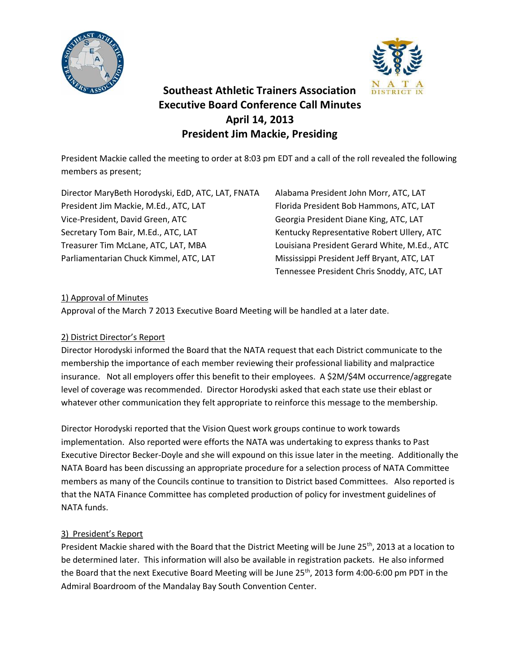



# **Southeast Athletic Trainers Association Executive Board Conference Call Minutes April 14, 2013 President Jim Mackie, Presiding**

President Mackie called the meeting to order at 8:03 pm EDT and a call of the roll revealed the following members as present;

Director MaryBeth Horodyski, EdD, ATC, LAT, FNATA Alabama President John Morr, ATC, LAT President Jim Mackie, M.Ed., ATC, LAT Florida President Bob Hammons, ATC, LAT Vice-President, David Green, ATC Georgia President Diane King, ATC, LAT Secretary Tom Bair, M.Ed., ATC, LAT Kentucky Representative Robert Ullery, ATC Treasurer Tim McLane, ATC, LAT, MBA Louisiana President Gerard White, M.Ed., ATC Parliamentarian Chuck Kimmel, ATC, LAT Mississippi President Jeff Bryant, ATC, LAT

Tennessee President Chris Snoddy, ATC, LAT

## 1) Approval of Minutes

Approval of the March 7 2013 Executive Board Meeting will be handled at a later date.

## 2) District Director's Report

Director Horodyski informed the Board that the NATA request that each District communicate to the membership the importance of each member reviewing their professional liability and malpractice insurance. Not all employers offer this benefit to their employees. A \$2M/\$4M occurrence/aggregate level of coverage was recommended. Director Horodyski asked that each state use their eblast or whatever other communication they felt appropriate to reinforce this message to the membership.

Director Horodyski reported that the Vision Quest work groups continue to work towards implementation. Also reported were efforts the NATA was undertaking to express thanks to Past Executive Director Becker-Doyle and she will expound on this issue later in the meeting. Additionally the NATA Board has been discussing an appropriate procedure for a selection process of NATA Committee members as many of the Councils continue to transition to District based Committees. Also reported is that the NATA Finance Committee has completed production of policy for investment guidelines of NATA funds.

## 3) President's Report

President Mackie shared with the Board that the District Meeting will be June 25<sup>th</sup>, 2013 at a location to be determined later. This information will also be available in registration packets. He also informed the Board that the next Executive Board Meeting will be June 25<sup>th</sup>, 2013 form 4:00-6:00 pm PDT in the Admiral Boardroom of the Mandalay Bay South Convention Center.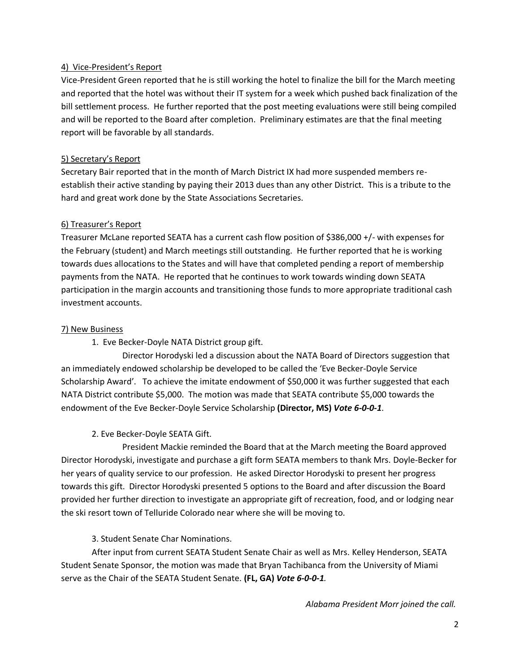## 4) Vice-President's Report

Vice-President Green reported that he is still working the hotel to finalize the bill for the March meeting and reported that the hotel was without their IT system for a week which pushed back finalization of the bill settlement process. He further reported that the post meeting evaluations were still being compiled and will be reported to the Board after completion. Preliminary estimates are that the final meeting report will be favorable by all standards.

#### 5) Secretary's Report

Secretary Bair reported that in the month of March District IX had more suspended members reestablish their active standing by paying their 2013 dues than any other District. This is a tribute to the hard and great work done by the State Associations Secretaries.

#### 6) Treasurer's Report

Treasurer McLane reported SEATA has a current cash flow position of \$386,000 +/- with expenses for the February (student) and March meetings still outstanding. He further reported that he is working towards dues allocations to the States and will have that completed pending a report of membership payments from the NATA. He reported that he continues to work towards winding down SEATA participation in the margin accounts and transitioning those funds to more appropriate traditional cash investment accounts.

#### 7) New Business

1. Eve Becker-Doyle NATA District group gift.

Director Horodyski led a discussion about the NATA Board of Directors suggestion that an immediately endowed scholarship be developed to be called the 'Eve Becker-Doyle Service Scholarship Award'. To achieve the imitate endowment of \$50,000 it was further suggested that each NATA District contribute \$5,000. The motion was made that SEATA contribute \$5,000 towards the endowment of the Eve Becker-Doyle Service Scholarship **(Director, MS)** *Vote 6-0-0-1*.

## 2. Eve Becker-Doyle SEATA Gift.

President Mackie reminded the Board that at the March meeting the Board approved Director Horodyski, investigate and purchase a gift form SEATA members to thank Mrs. Doyle-Becker for her years of quality service to our profession. He asked Director Horodyski to present her progress towards this gift. Director Horodyski presented 5 options to the Board and after discussion the Board provided her further direction to investigate an appropriate gift of recreation, food, and or lodging near the ski resort town of Telluride Colorado near where she will be moving to.

## 3. Student Senate Char Nominations.

After input from current SEATA Student Senate Chair as well as Mrs. Kelley Henderson, SEATA Student Senate Sponsor, the motion was made that Bryan Tachibanca from the University of Miami serve as the Chair of the SEATA Student Senate. **(FL, GA)** *Vote 6-0-0-1.*

*Alabama President Morr joined the call.*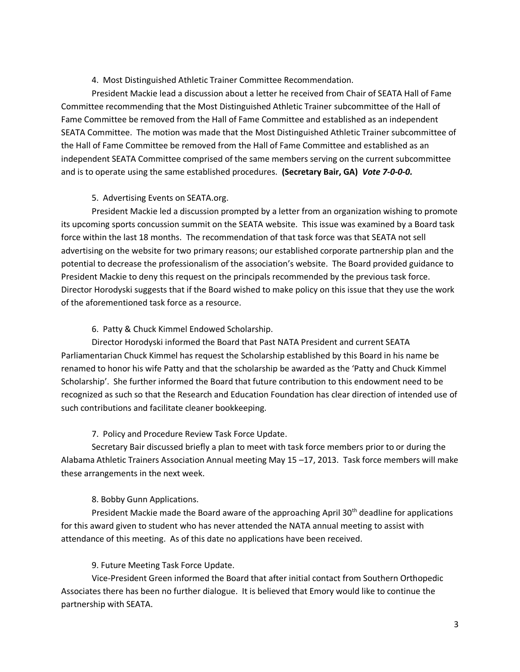#### 4. Most Distinguished Athletic Trainer Committee Recommendation.

President Mackie lead a discussion about a letter he received from Chair of SEATA Hall of Fame Committee recommending that the Most Distinguished Athletic Trainer subcommittee of the Hall of Fame Committee be removed from the Hall of Fame Committee and established as an independent SEATA Committee. The motion was made that the Most Distinguished Athletic Trainer subcommittee of the Hall of Fame Committee be removed from the Hall of Fame Committee and established as an independent SEATA Committee comprised of the same members serving on the current subcommittee and is to operate using the same established procedures. **(Secretary Bair, GA)** *Vote 7-0-0-0.*

#### 5. Advertising Events on SEATA.org.

President Mackie led a discussion prompted by a letter from an organization wishing to promote its upcoming sports concussion summit on the SEATA website. This issue was examined by a Board task force within the last 18 months. The recommendation of that task force was that SEATA not sell advertising on the website for two primary reasons; our established corporate partnership plan and the potential to decrease the professionalism of the association's website. The Board provided guidance to President Mackie to deny this request on the principals recommended by the previous task force. Director Horodyski suggests that if the Board wished to make policy on this issue that they use the work of the aforementioned task force as a resource.

## 6. Patty & Chuck Kimmel Endowed Scholarship.

Director Horodyski informed the Board that Past NATA President and current SEATA Parliamentarian Chuck Kimmel has request the Scholarship established by this Board in his name be renamed to honor his wife Patty and that the scholarship be awarded as the 'Patty and Chuck Kimmel Scholarship'. She further informed the Board that future contribution to this endowment need to be recognized as such so that the Research and Education Foundation has clear direction of intended use of such contributions and facilitate cleaner bookkeeping.

## 7. Policy and Procedure Review Task Force Update.

Secretary Bair discussed briefly a plan to meet with task force members prior to or during the Alabama Athletic Trainers Association Annual meeting May 15 –17, 2013. Task force members will make these arrangements in the next week.

## 8. Bobby Gunn Applications.

President Mackie made the Board aware of the approaching April 30<sup>th</sup> deadline for applications for this award given to student who has never attended the NATA annual meeting to assist with attendance of this meeting. As of this date no applications have been received.

## 9. Future Meeting Task Force Update.

Vice-President Green informed the Board that after initial contact from Southern Orthopedic Associates there has been no further dialogue. It is believed that Emory would like to continue the partnership with SEATA.